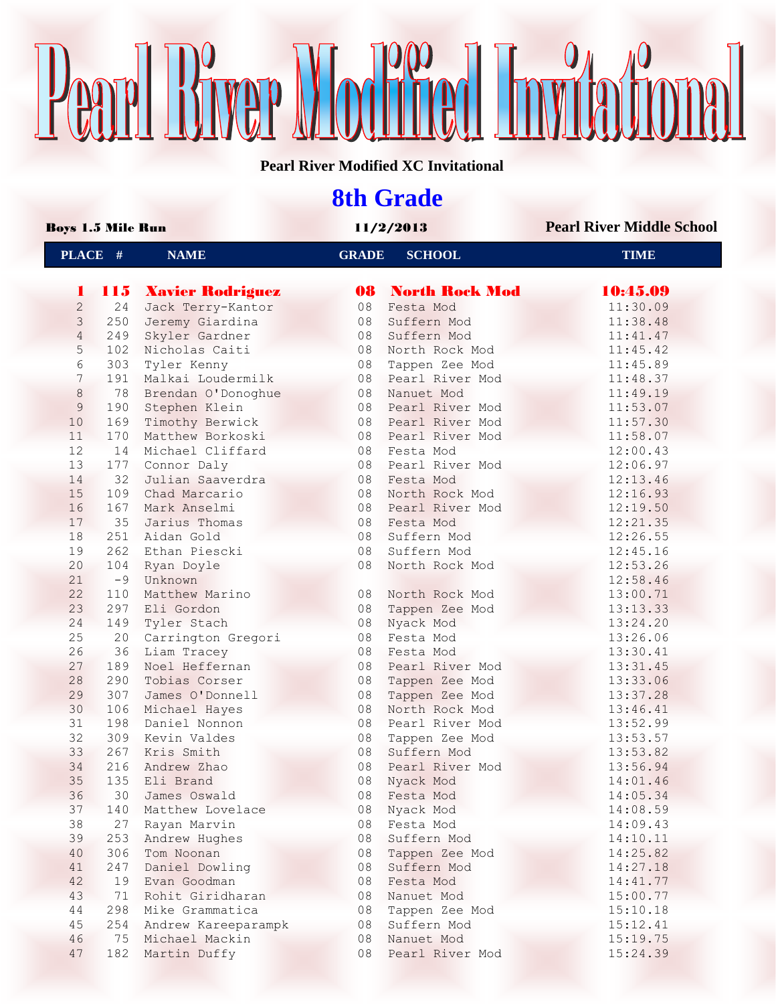# Pearl Bryer Modred Invitational

**Pearl River Modified XC Invitational**

## **8th Grade**

| <b>Boys 1.5 Mile Run</b> |            |                                | 11/2/2013    |                                  | <b>Pearl River Middle School</b> |  |
|--------------------------|------------|--------------------------------|--------------|----------------------------------|----------------------------------|--|
| PLACE #                  |            | <b>NAME</b>                    | <b>GRADE</b> | <b>SCHOOL</b>                    | <b>TIME</b>                      |  |
| 1                        |            | <b>115 Xavier Rodriguez</b>    |              | <b>08 North Rock Mod</b>         | 10:45.09                         |  |
| $\overline{2}$           | 24         | Jack Terry-Kantor              | 08           | Festa Mod                        | 11:30.09                         |  |
| 3                        | 250        | Jeremy Giardina                | 08           | Suffern Mod                      | 11:38.48                         |  |
| $\overline{4}$           | 249        | Skyler Gardner                 | 08           | Suffern Mod                      | 11:41.47                         |  |
| 5                        | 102        | Nicholas Caiti                 | 08           | North Rock Mod                   | 11:45.42                         |  |
| 6                        | 303        | Tyler Kenny                    | 08           | Tappen Zee Mod                   | 11:45.89                         |  |
| 7                        | 191        | Malkai Loudermilk              | 08           | Pearl River Mod                  | 11:48.37                         |  |
| $\,8\,$                  | 78         | Brendan O'Donoghue             | 08           | Nanuet Mod                       | 11:49.19                         |  |
| 9                        | 190        | Stephen Klein                  | 08           | Pearl River Mod                  | 11:53.07                         |  |
| 10                       | 169        | Timothy Berwick                | 08           | Pearl River Mod                  | 11:57.30                         |  |
| 11                       | 170        | Matthew Borkoski               | 08           | Pearl River Mod                  | 11:58.07                         |  |
| 12                       | 14         | Michael Cliffard               | 08           | Festa Mod                        | 12:00.43                         |  |
| 13                       | 177        | Connor Daly                    | 08           | Pearl River Mod                  | 12:06.97                         |  |
| 14                       | 32         | Julian Saaverdra               | 08           | Festa Mod                        | 12:13.46                         |  |
| 15                       | 109        | Chad Marcario                  | 08           | North Rock Mod                   | 12:16.93                         |  |
| 16                       | 167        | Mark Anselmi                   | 08           | Pearl River Mod                  | 12:19.50                         |  |
| 17                       | 35         | Jarius Thomas                  | 08           | Festa Mod                        | 12:21.35                         |  |
| 18                       | 251        | Aidan Gold                     | 08           | Suffern Mod                      | 12:26.55                         |  |
| 19                       | 262        | Ethan Piescki                  | 08           | Suffern Mod                      | 12:45.16                         |  |
| 20                       | 104        | Ryan Doyle                     | 08           | North Rock Mod                   | 12:53.26                         |  |
| 21                       | $-9$       | Unknown                        |              |                                  | 12:58.46                         |  |
| 22                       | 110        | Matthew Marino                 | 08           | North Rock Mod                   | 13:00.71                         |  |
| 23                       | 297        | Eli Gordon                     | 08           | Tappen Zee Mod                   | 13:13.33                         |  |
| 24                       | 149        | Tyler Stach                    | 08           | Nyack Mod                        | 13:24.20                         |  |
| 25                       | 20         | Carrington Gregori             | 08           | Festa Mod                        | 13:26.06                         |  |
| 26                       | 36         | Liam Tracey                    | 08           | Festa Mod                        | 13:30.41                         |  |
| 27                       | 189        | Noel Heffernan                 | 08           | Pearl River Mod                  |                                  |  |
| 28                       | 290        | Tobias Corser                  | 08           |                                  | 13:31.45                         |  |
| 29                       | 307        | James O'Donnell                | 08           | Tappen Zee Mod                   | 13:33.06                         |  |
| 30                       |            |                                | 08           | Tappen Zee Mod<br>North Rock Mod | 13:37.28                         |  |
| 31                       | 106<br>198 | Michael Hayes<br>Daniel Nonnon | 08           | Pearl River Mod                  | 13:46.41                         |  |
| 32                       |            |                                |              |                                  | 13:52.99                         |  |
| 33                       | 309        | Kevin Valdes                   | 08           | Tappen Zee Mod<br>Suffern Mod    | 13:53.57                         |  |
| 34                       | 267        | Kris Smith                     | 08           |                                  | 13:53.82                         |  |
|                          | 216        | Andrew Zhao                    | 08           | Pearl River Mod                  | 13:56.94                         |  |
| 35                       |            | 135 Eli Brand                  |              | 08 Nyack Mod                     | 14:01.46                         |  |
| 36                       | 30         | James Oswald                   | 08           | Festa Mod                        | 14:05.34                         |  |
| 37                       | 140        | Matthew Lovelace               | 08           | Nyack Mod                        | 14:08.59                         |  |
| 38                       | 27         | Rayan Marvin                   | 08           | Festa Mod                        | 14:09.43                         |  |
| 39                       | 253        | Andrew Hughes                  | 08           | Suffern Mod                      | 14:10.11                         |  |
| 40                       | 306        | Tom Noonan                     | 08           | Tappen Zee Mod                   | 14:25.82                         |  |
| 41                       | 247        | Daniel Dowling                 | 08           | Suffern Mod                      | 14:27.18                         |  |
| 42                       | 19         | Evan Goodman                   | 08           | Festa Mod                        | 14:41.77                         |  |
| 43                       | 71         | Rohit Giridharan               | 08           | Nanuet Mod                       | 15:00.77                         |  |
| 44                       | 298        | Mike Grammatica                | 08           | Tappen Zee Mod                   | 15:10.18                         |  |
| 45                       | 254        | Andrew Kareeparampk            | 08           | Suffern Mod                      | 15:12.41                         |  |
| 46                       | 75         | Michael Mackin                 | 08           | Nanuet Mod                       | 15:19.75                         |  |
| 47                       | 182        | Martin Duffy                   | 08           | Pearl River Mod                  | 15:24.39                         |  |